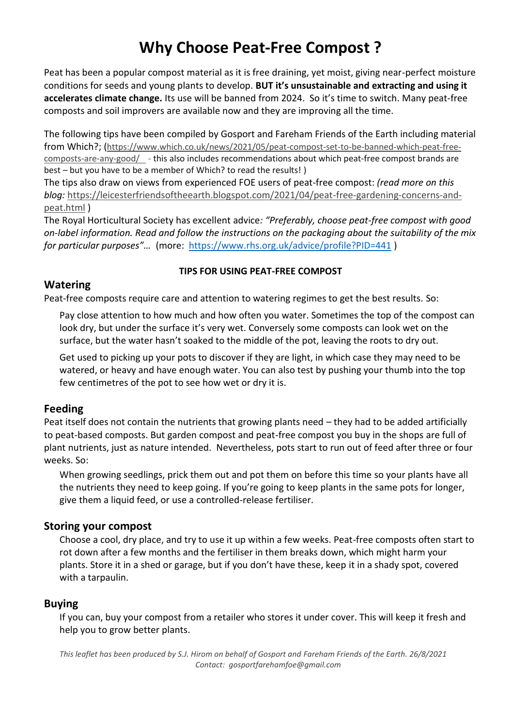# **Why Choose Peat-Free Compost ?**

Peat has been a popular compost material as it is free draining, yet moist, giving near-perfect moisture conditions for seeds and young plants to develop. **BUT it's unsustainable and extracting and using it accelerates climate change.** Its use will be banned from 2024. So it's time to switch. Many peat-free composts and soil improvers are available now and they are improving all the time.

The following tips have been compiled by Gosport and Fareham Friends of the Earth including material from Which?; ([https://www.which.co.uk/news/2021/05/peat-compost-set-to-be-banned-which-peat-free](https://www.which.co.uk/news/2021/05/peat-compost-set-to-be-banned-which-peat-free-composts-are-any-good/)[composts-are-any-good/](https://www.which.co.uk/news/2021/05/peat-compost-set-to-be-banned-which-peat-free-composts-are-any-good/) - this also includes recommendations about which peat-free compost brands are best – but you have to be a member of Which? to read the results! )

The tips also draw on views from experienced FOE users of peat-free compost: *(read more on this blog:* [https://leicesterfriendsoftheearth.blogspot.com/2021/04/peat-free-gardening-concerns-and](https://leicesterfriendsoftheearth.blogspot.com/2021/04/peat-free-gardening-concerns-and-peat.html)[peat.html](https://leicesterfriendsoftheearth.blogspot.com/2021/04/peat-free-gardening-concerns-and-peat.html) )

The Royal Horticultural Society has excellent advice*: "Preferably, choose peat-free compost with good on-label information. Read and follow the instructions on the packaging about the suitability of the mix for particular purposes"…* (more: <https://www.rhs.org.uk/advice/profile?PID=441> )

#### **Watering**

#### **TIPS FOR USING PEAT-FREE COMPOST**

Peat-free composts require care and attention to watering regimes to get the best results. So:

Pay close attention to how much and how often you water. Sometimes the top of the compost can look dry, but under the surface it's very wet. Conversely some composts can look wet on the surface, but the water hasn't soaked to the middle of the pot, leaving the roots to dry out.

Get used to picking up your pots to discover if they are light, in which case they may need to be watered, or heavy and have enough water. You can also test by pushing your thumb into the top few centimetres of the pot to see how wet or dry it is.

#### **Feeding**

Peat itself does not contain the nutrients that growing plants need – they had to be added artificially to peat-based composts. But garden compost and peat-free compost you buy in the shops are full of plant nutrients, just as nature intended. Nevertheless, pots start to run out of feed after three or four weeks. So:

When growing seedlings, prick them out and pot them on before this time so your plants have all the nutrients they need to keep going. If you're going to keep plants in the same pots for longer, give them a liquid feed, or use a controlled-release fertiliser.

#### **Storing your compost**

Choose a cool, dry place, and try to use it up within a few weeks. Peat-free composts often start to rot down after a few months and the fertiliser in them breaks down, which might harm your plants. Store it in a shed or garage, but if you don't have these, keep it in a shady spot, covered with a tarpaulin.

#### **Buying**

If you can, buy your compost from a retailer who stores it under cover. This will keep it fresh and help you to grow better plants.